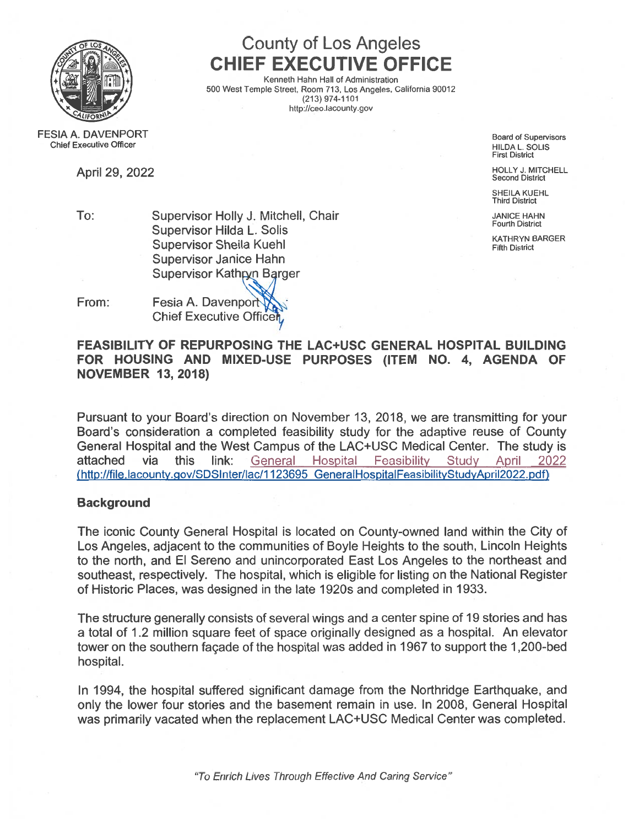

# County of Los Angeles CHIEF EXECUTIVE OFFICE

Kenneth Hahn Hall of Administration 500 West Temple Street, Room 713, Los Angeles, California 90012 (213) 974-1101 http://ceo.lacounty.gov

FESIA A. DAVENPORT Chief Executive Officer

Board of Supervisors HILDA L. SOLIS First District

April 29, 2022 **HOLLY J. MITCHELL** Second District

SHEILA KUEHL Third District

To: Supervisor Holly J. Mitchell, Chair Jannes Anne Chair JANICE HAHN • . . Fourth District Supervisor Hilda L. Solis er and the state of the state of the Supervisor Sheila Kuehl Times and the Supervisor Sheila Kuehl Times and T Supervisor Janice Hahn Supervisor Kathryn Barger

From: Fesia A. Davenport Chief Executive 0ffic

FEASIBILITY OF REPURPOSING THE LAC+USC GENERAL HOSPITAL BUILDING FOR HOUSING AND MIXED-USE PURPOSES (ITEM NO. 4, AGENDA OF NOVEMBER 13, 2018)

Pursuant to your Board's direction on November 13, 2018, we are transmitting for your Board's consideration <sup>a</sup> completed feasibility study for the adaptive reuse of County General Hospital and the West Campus of the LAC+USC Medical Center. The study is attached via this link: General Hospital [Feasibility](http://file.lacounty.gov/SDSInter/lac/1123695_GeneralHospitalFeasibilityStudyApril2022.pdf) Study April <sup>2022</sup> (http://file. lacounty.qov/SDSI nter/lac/1 123695 [GeneralHospitalFeasibilityStudyApril2022](http://file.lacounty.gov/SDSInter/lac/1123695_GeneralHospitalFeasibilityStudyApril2022.pdf) <sup>p</sup>df)

## **Background**

The iconic County General Hospital is located on County-owned land within the City of Los Angeles, adjacent to the communities of Boyle Heights to the south, Lincoln Heights to the north, and El Sereno and unincorporated East Los Angeles to the northeast and southeast, respectively. The hospital, which is eligible for listing on the National Register of Historic Places, was designed in the late 1 920s and completed in 1933.

The structure generally consists of several wings and <sup>a</sup> center spine of 19 stories and has <sup>a</sup> total of 1.2 million square feet of space originally designed as <sup>a</sup> hospital. An elevator tower on the southern façade of the hospital was added in 1967 to suppor<sup>t</sup> the 1,200-bed hospital.

In 1994, the hospital suffered significant damage from the Northridge Earthquake, and only the lower four stories and the basement remain in use. In 2008, General Hospital was primarily vacated when the replacement LAC+USC Medical Center was completed.

"To Enrich Lives Through Effective And Caring Service"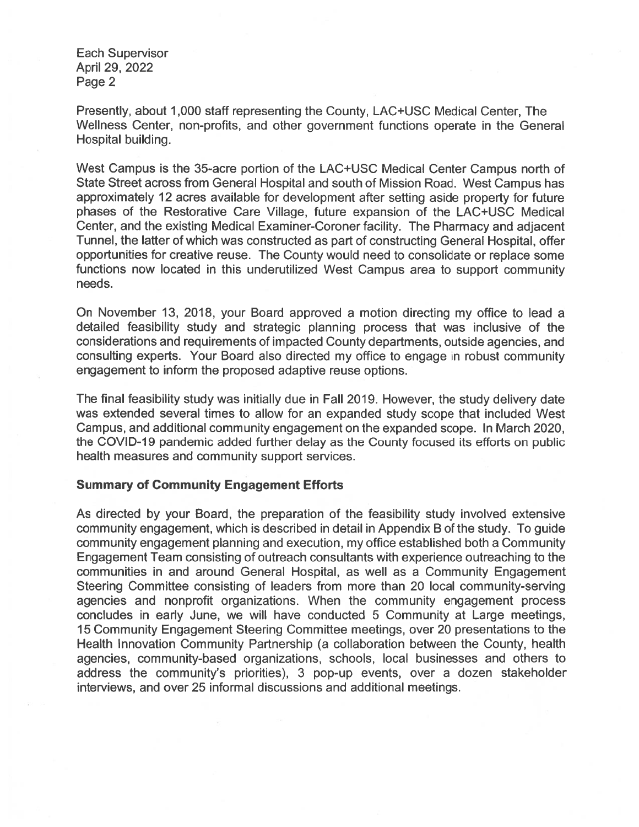Each Supervisor April 29, 2022 Page 2

Presently, about 1,000 staff representing the County, LAC+USC Medical Center, The Wellness Center, non-profits, and other governmen<sup>t</sup> functions operate in the General Hospital building.

West Campus is the 35-acre portion of the LAC+USC Medical Center Campus north of State Street across from General Hospital and south of Mission Road. West Campus has approximately 12 acres available for development after setting aside property for future phases of the Restorative Care Village, future expansion of the LAC+USC Medical Center, and the existing Medical Examiner-Coroner facility. The Pharmacy and adjacent Tunnel, the latter of which was constructed as par<sup>t</sup> of constructing General Hospital, offer opportunities for creative reuse. The County would need to consolidate or replace some functions now located in this underutilized West Campus area to suppor<sup>t</sup> community needs.

On November 13, 2018, your Board approved <sup>a</sup> motion directing my office to lead <sup>a</sup> detailed feasibility study and strategic planning process that was inclusive of the considerations and requirements of impacted County departments, outside agencies, and consulting experts. Your Board also directed my office to engage in robust community engagemen<sup>t</sup> to inform the proposed adaptive reuse options.

The final feasibility study was initially due in Fall 2019. However, the study delivery date was extended several times to allow for an expanded study scope that included West Campus, and additional community engagemen<sup>t</sup> on the expanded scope. In March 2020, the COVID-19 pandemic added further delay as the County focused its efforts on public health measures and community suppor<sup>t</sup> services.

#### Summary of Community Engagement Efforts

As directed by your Board, the preparation of the feasibility study involved extensive community engagement, which is described in detail in Appendix B of the study. To guide community engagemen<sup>t</sup> planning and execution, my office established both <sup>a</sup> Community Engagement Team consisting of outreach consultants with experience outreaching to the communities in and around General Hospital, as well as <sup>a</sup> Community Engagement Steering Committee consisting of leaders from more than 20 local community-serving agencies and nonprofit organizations. When the community engagemen<sup>t</sup> process concludes in early June, we will have conducted 5 Community at Large meetings, 15 Community Engagement Steering Committee meetings, over 20 presentations to the Health Innovation Community Partnership (a collaboration between the County, health agencies, community-based organizations, schools, local businesses and others to address the community's priorities), 3 pop-up events, over <sup>a</sup> dozen stakeholder interviews, and over 25 informal discussions and additional meetings.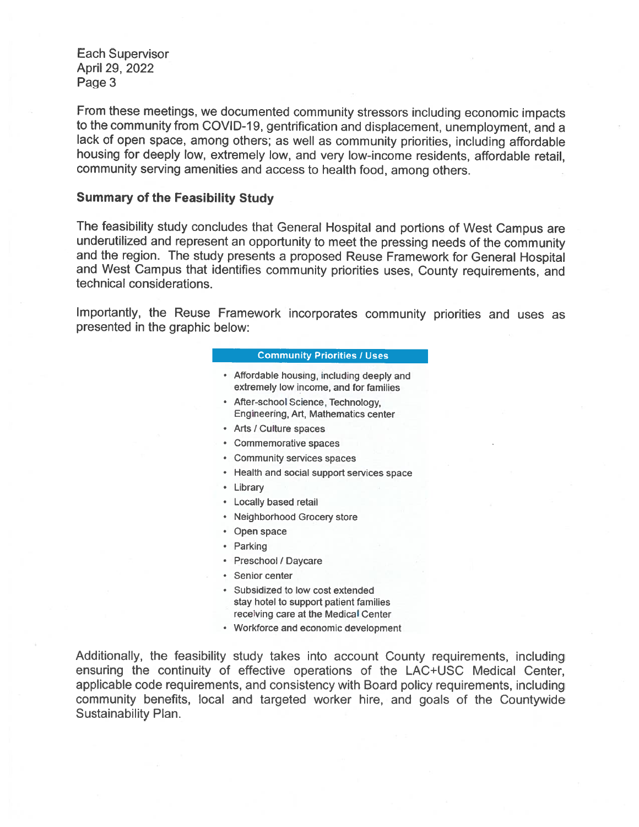Each Supervisor April 29, 2022 Page 3

From these meetings, we documented community stressors including economic impacts to the community from COVID-19, gentrification and displacement, unemployment, and a lack of open space, among others; as well as community priorities, including affordable housing for deeply low, extremely low, and very low-income residents, affordable retail, community serving amenities and access to health food, among others.

#### Summary of the Feasibility Study

The feasibility study concludes that General Hospital and portions of West Campus are underutilized and represent an opportunity to meet the pressing needs of the community and the region. The study presents <sup>a</sup> proposed Reuse Framework for General Hospital and West Campus that identifies community priorities uses, County requirements, and technical considerations.

Importantly, the Reuse Framework incorporates community priorities and uses as presented in the graphic below:

#### **Community Priorities / Uses**

- Affordable housing, including deeply and extremely low income, and for families
- After-school Science, Technology, Engineering, Art, Mathematics center
- Arts / Culture spaces
- Commemorative spaces
- Community services spaces
- Health and social suppor<sup>t</sup> services space
- Library
- Locally based retail
- Neighborhood Grocery store
- Open space
- Parking
- Preschool / Daycare
- Senior center
- Subsidized to low cost extended stay hotel to suppor<sup>t</sup> patient families receiving care at the Medical Center
- Workforce and economic development

Additionally, the feasibility study takes into account County requirements, including ensuring the continuity of effective operations of the LAC+USC Medical Center, applicable code requirements, and consistency with Board policy requirements, including community benefits, local and targeted worker hire, and goals of the Countywide Sustainability Plan.